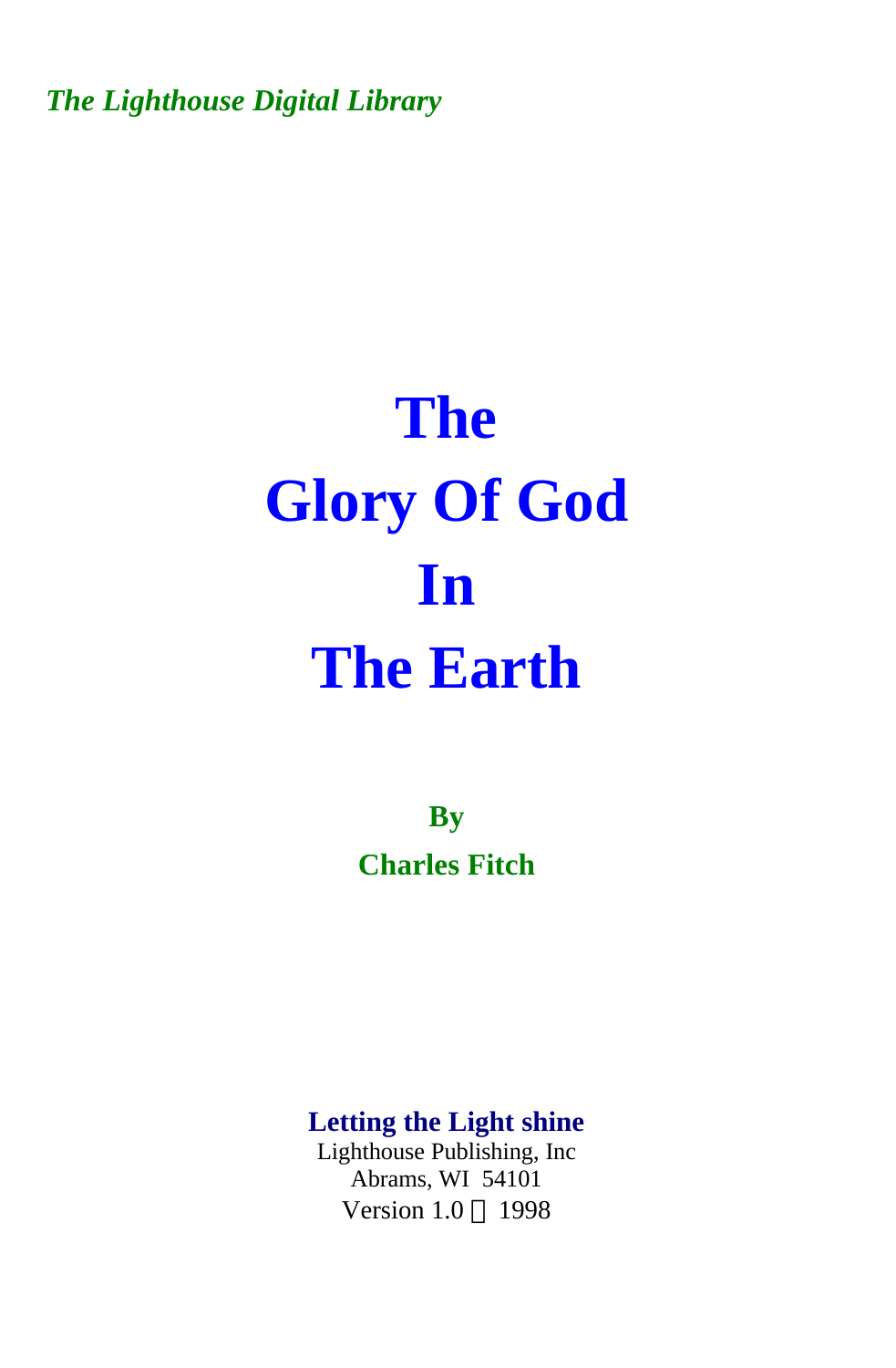*The Lighthouse Digital Library* 

## **The Glory Of God In The Earth**

**By Charles Fitch** 

**Letting the Light shine** 

Lighthouse Publishing, Inc Abrams, WI 54101 Version  $1.0 \odot 1998$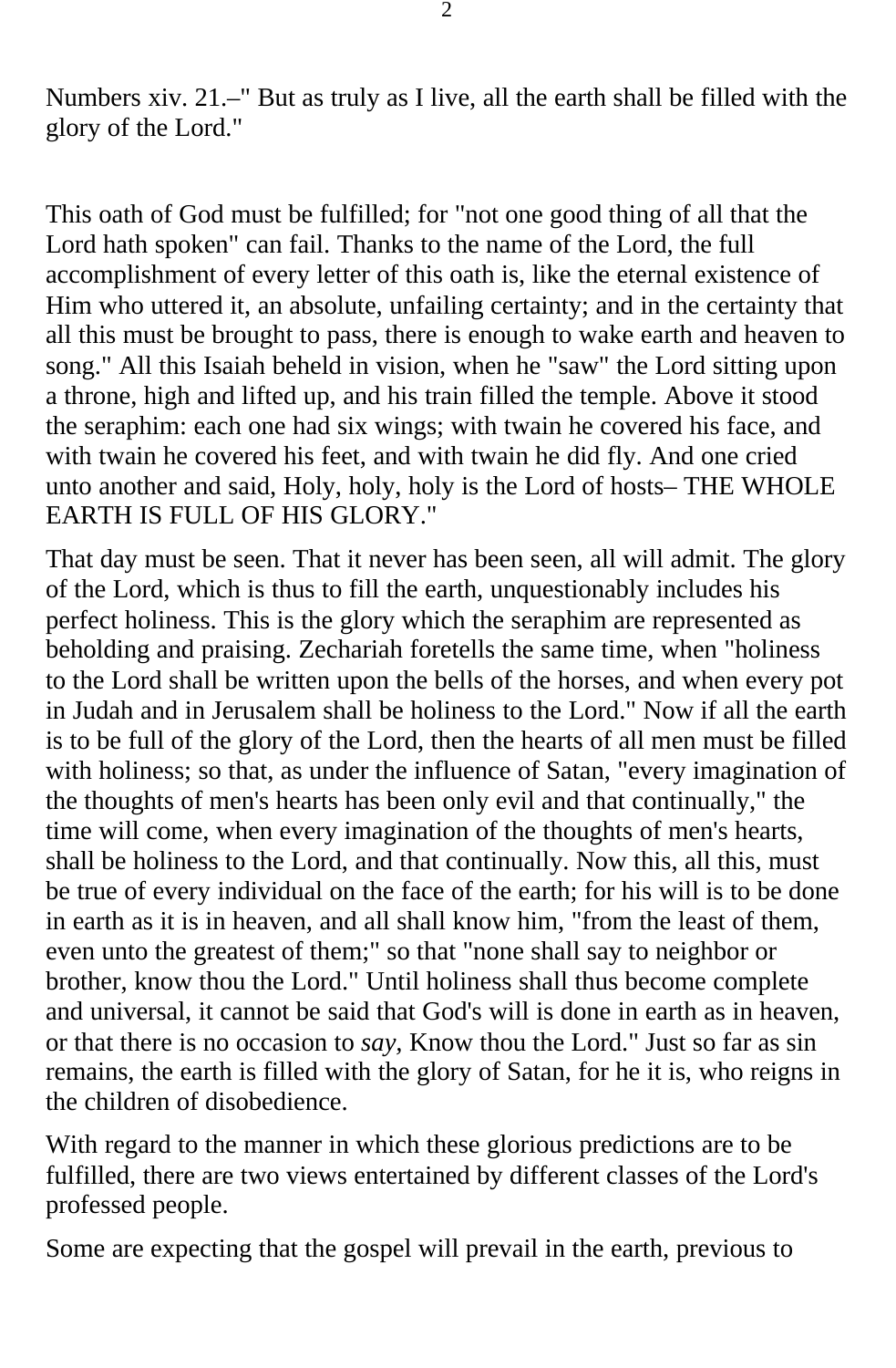Numbers xiv. 21.–" But as truly as I live, all the earth shall be filled with the glory of the Lord."

This oath of God must be fulfilled; for "not one good thing of all that the Lord hath spoken" can fail. Thanks to the name of the Lord, the full accomplishment of every letter of this oath is, like the eternal existence of Him who uttered it, an absolute, unfailing certainty; and in the certainty that all this must be brought to pass, there is enough to wake earth and heaven to song." All this Isaiah beheld in vision, when he "saw" the Lord sitting upon a throne, high and lifted up, and his train filled the temple. Above it stood the seraphim: each one had six wings; with twain he covered his face, and with twain he covered his feet, and with twain he did fly. And one cried unto another and said, Holy, holy, holy is the Lord of hosts– THE WHOLE EARTH IS FULL OF HIS GLORY."

That day must be seen. That it never has been seen, all will admit. The glory of the Lord, which is thus to fill the earth, unquestionably includes his perfect holiness. This is the glory which the seraphim are represented as beholding and praising. Zechariah foretells the same time, when "holiness to the Lord shall be written upon the bells of the horses, and when every pot in Judah and in Jerusalem shall be holiness to the Lord." Now if all the earth is to be full of the glory of the Lord, then the hearts of all men must be filled with holiness; so that, as under the influence of Satan, "every imagination of the thoughts of men's hearts has been only evil and that continually," the time will come, when every imagination of the thoughts of men's hearts, shall be holiness to the Lord, and that continually. Now this, all this, must be true of every individual on the face of the earth; for his will is to be done in earth as it is in heaven, and all shall know him, "from the least of them, even unto the greatest of them;" so that "none shall say to neighbor or brother, know thou the Lord." Until holiness shall thus become complete and universal, it cannot be said that God's will is done in earth as in heaven, or that there is no occasion to *say,* Know thou the Lord." Just so far as sin remains, the earth is filled with the glory of Satan, for he it is, who reigns in the children of disobedience.

With regard to the manner in which these glorious predictions are to be fulfilled, there are two views entertained by different classes of the Lord's professed people.

Some are expecting that the gospel will prevail in the earth, previous to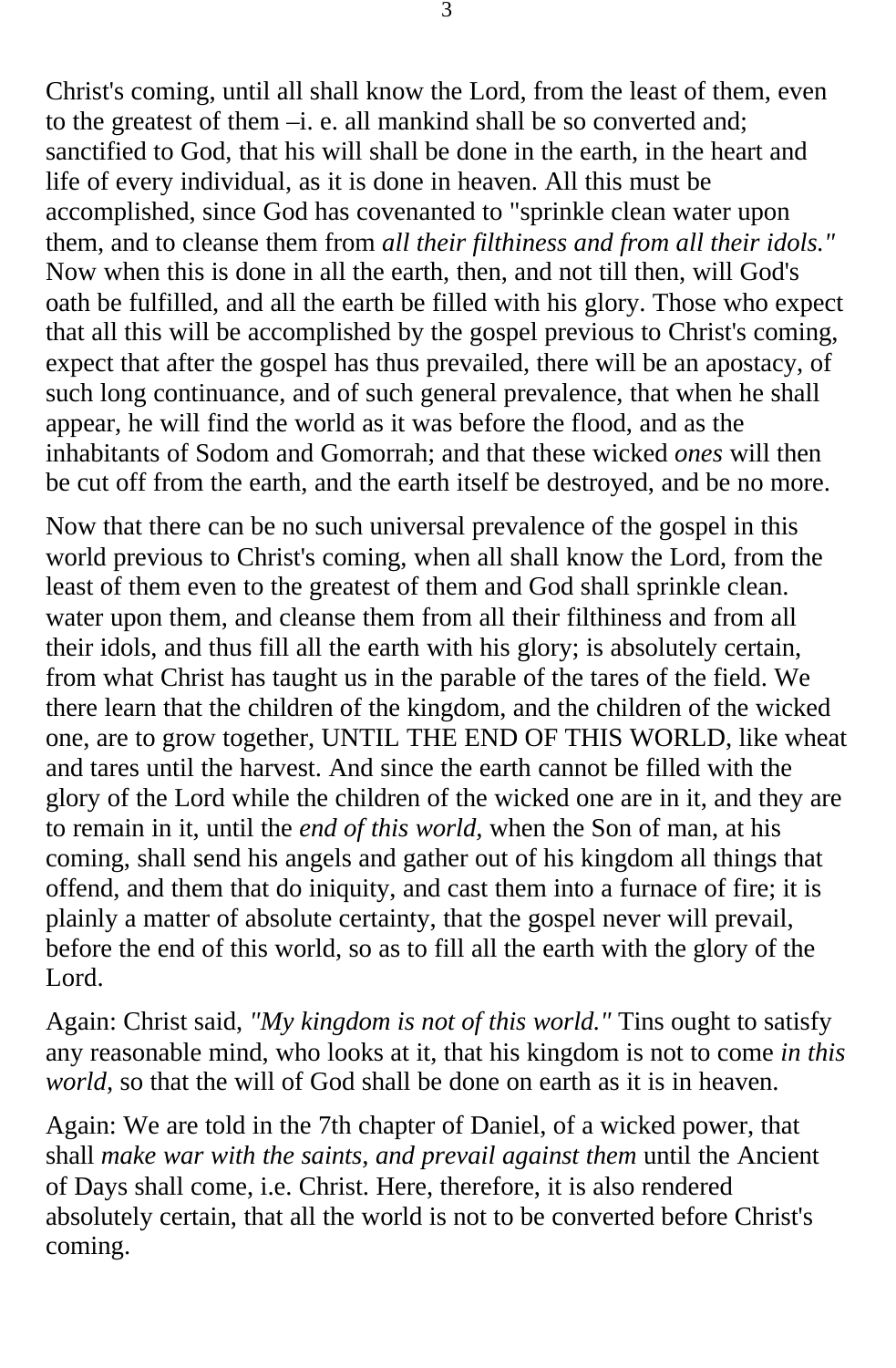Christ's coming, until all shall know the Lord, from the least of them, even to the greatest of them –i. e. all mankind shall be so converted and; sanctified to God, that his will shall be done in the earth, in the heart and life of every individual, as it is done in heaven. All this must be accomplished, since God has covenanted to "sprinkle clean water upon them, and to cleanse them from *all their filthiness and from all their idols."*  Now when this is done in all the earth, then, and not till then, will God's oath be fulfilled, and all the earth be filled with his glory. Those who expect that all this will be accomplished by the gospel previous to Christ's coming, expect that after the gospel has thus prevailed, there will be an apostacy, of such long continuance, and of such general prevalence, that when he shall appear, he will find the world as it was before the flood, and as the inhabitants of Sodom and Gomorrah; and that these wicked *ones* will then be cut off from the earth, and the earth itself be destroyed, and be no more.

Now that there can be no such universal prevalence of the gospel in this world previous to Christ's coming, when all shall know the Lord, from the least of them even to the greatest of them and God shall sprinkle clean. water upon them, and cleanse them from all their filthiness and from all their idols, and thus fill all the earth with his glory; is absolutely certain, from what Christ has taught us in the parable of the tares of the field. We there learn that the children of the kingdom, and the children of the wicked one, are to grow together, UNTIL THE END OF THIS WORLD, like wheat and tares until the harvest. And since the earth cannot be filled with the glory of the Lord while the children of the wicked one are in it, and they are to remain in it, until the *end of this world,* when the Son of man, at his coming, shall send his angels and gather out of his kingdom all things that offend, and them that do iniquity, and cast them into a furnace of fire; it is plainly a matter of absolute certainty, that the gospel never will prevail, before the end of this world, so as to fill all the earth with the glory of the Lord.

Again: Christ said, *"My kingdom is not of this world."* Tins ought to satisfy any reasonable mind, who looks at it, that his kingdom is not to come *in this world,* so that the will of God shall be done on earth as it is in heaven.

Again: We are told in the 7th chapter of Daniel, of a wicked power, that shall *make war with the saints, and prevail against them* until the Ancient of Days shall come, i.e. Christ. Here, therefore, it is also rendered absolutely certain, that all the world is not to be converted before Christ's coming.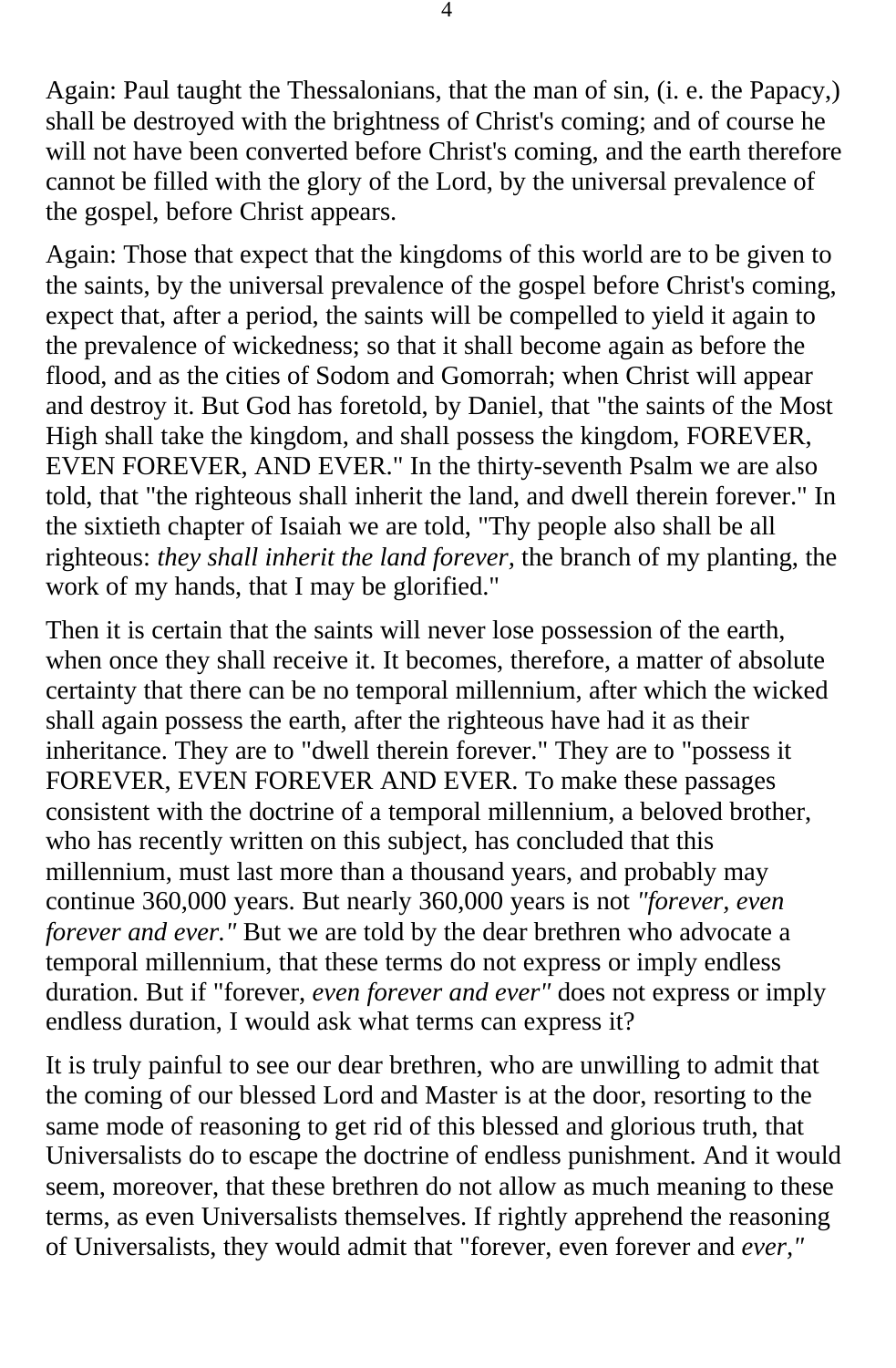Again: Paul taught the Thessalonians, that the man of sin, (i. e. the Papacy,) shall be destroyed with the brightness of Christ's coming; and of course he will not have been converted before Christ's coming, and the earth therefore cannot be filled with the glory of the Lord, by the universal prevalence of the gospel, before Christ appears.

Again: Those that expect that the kingdoms of this world are to be given to the saints, by the universal prevalence of the gospel before Christ's coming, expect that, after a period, the saints will be compelled to yield it again to the prevalence of wickedness; so that it shall become again as before the flood, and as the cities of Sodom and Gomorrah; when Christ will appear and destroy it. But God has foretold, by Daniel, that "the saints of the Most High shall take the kingdom, and shall possess the kingdom, FOREVER, EVEN FOREVER, AND EVER." In the thirty-seventh Psalm we are also told, that "the righteous shall inherit the land, and dwell therein forever." In the sixtieth chapter of Isaiah we are told, "Thy people also shall be all righteous: *they shall inherit the land forever,* the branch of my planting, the work of my hands, that I may be glorified."

Then it is certain that the saints will never lose possession of the earth, when once they shall receive it. It becomes, therefore, a matter of absolute certainty that there can be no temporal millennium, after which the wicked shall again possess the earth, after the righteous have had it as their inheritance. They are to "dwell therein forever." They are to "possess it FOREVER, EVEN FOREVER AND EVER. To make these passages consistent with the doctrine of a temporal millennium, a beloved brother, who has recently written on this subject, has concluded that this millennium, must last more than a thousand years, and probably may continue 360,000 years. But nearly 360,000 years is not *"forever, even forever and ever."* But we are told by the dear brethren who advocate a temporal millennium, that these terms do not express or imply endless duration. But if "forever, *even forever and ever"* does not express or imply endless duration, I would ask what terms can express it?

It is truly painful to see our dear brethren, who are unwilling to admit that the coming of our blessed Lord and Master is at the door, resorting to the same mode of reasoning to get rid of this blessed and glorious truth, that Universalists do to escape the doctrine of endless punishment. And it would seem, moreover, that these brethren do not allow as much meaning to these terms, as even Universalists themselves. If rightly apprehend the reasoning of Universalists, they would admit that "forever, even forever and *ever,"*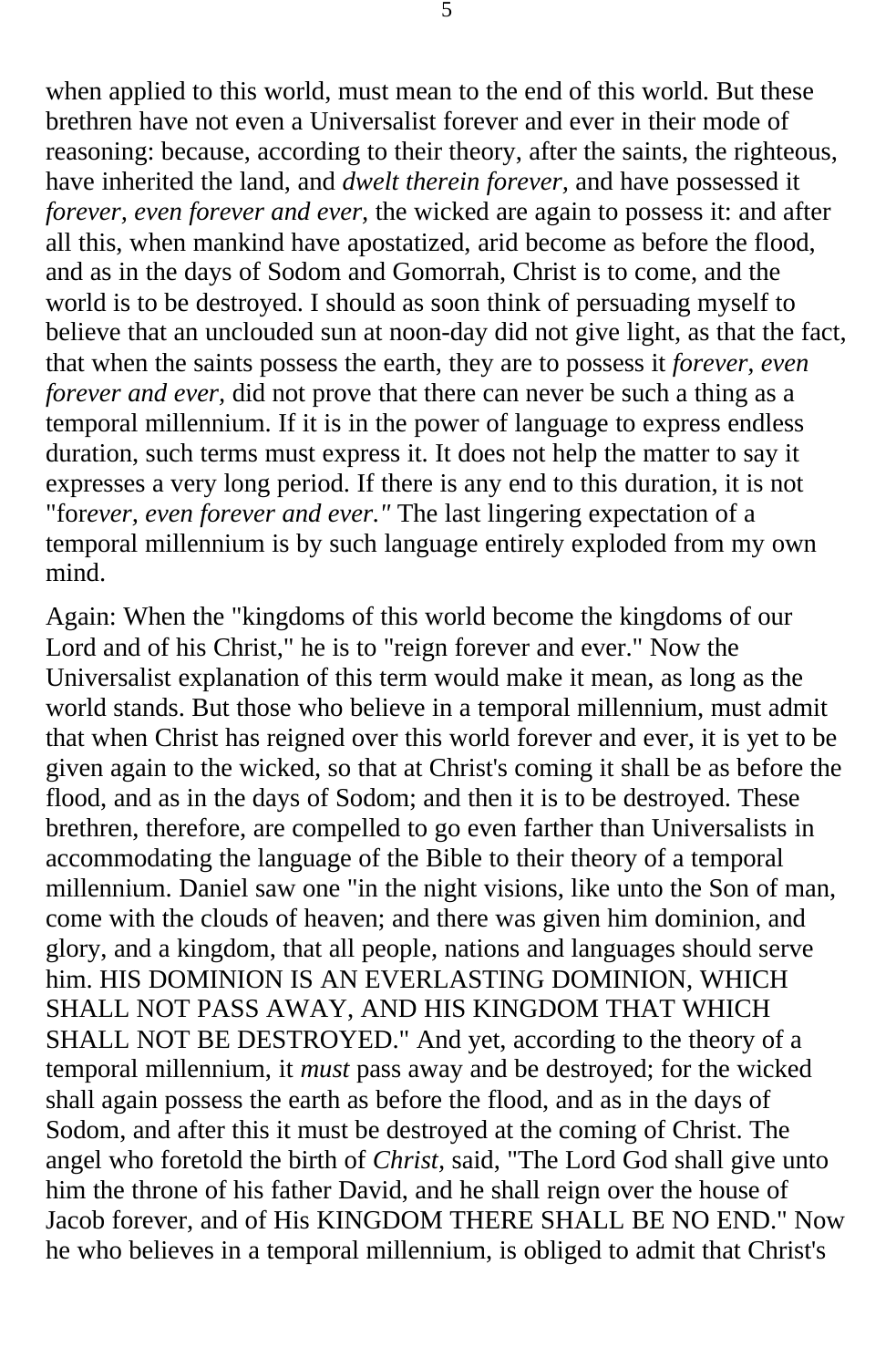when applied to this world, must mean to the end of this world. But these brethren have not even a Universalist forever and ever in their mode of reasoning: because, according to their theory, after the saints, the righteous, have inherited the land, and *dwelt therein forever,* and have possessed it *forever, even forever and ever,* the wicked are again to possess it: and after all this, when mankind have apostatized, arid become as before the flood, and as in the days of Sodom and Gomorrah, Christ is to come, and the world is to be destroyed. I should as soon think of persuading myself to believe that an unclouded sun at noon-day did not give light, as that the fact, that when the saints possess the earth, they are to possess it *forever, even forever and ever,* did not prove that there can never be such a thing as a temporal millennium. If it is in the power of language to express endless duration, such terms must express it. It does not help the matter to say it expresses a very long period. If there is any end to this duration, it is not "for*ever, even forever and ever."* The last lingering expectation of a temporal millennium is by such language entirely exploded from my own mind.

Again: When the "kingdoms of this world become the kingdoms of our Lord and of his Christ," he is to "reign forever and ever." Now the Universalist explanation of this term would make it mean, as long as the world stands. But those who believe in a temporal millennium, must admit that when Christ has reigned over this world forever and ever, it is yet to be given again to the wicked, so that at Christ's coming it shall be as before the flood, and as in the days of Sodom; and then it is to be destroyed. These brethren, therefore, are compelled to go even farther than Universalists in accommodating the language of the Bible to their theory of a temporal millennium. Daniel saw one "in the night visions, like unto the Son of man, come with the clouds of heaven; and there was given him dominion, and glory, and a kingdom, that all people, nations and languages should serve him. HIS DOMINION IS AN EVERLASTING DOMINION, WHICH SHALL NOT PASS AWAY, AND HIS KINGDOM THAT WHICH SHALL NOT BE DESTROYED." And yet, according to the theory of a temporal millennium, it *must* pass away and be destroyed; for the wicked shall again possess the earth as before the flood, and as in the days of Sodom, and after this it must be destroyed at the coming of Christ. The angel who foretold the birth of *Christ,* said, "The Lord God shall give unto him the throne of his father David, and he shall reign over the house of Jacob forever, and of His KINGDOM THERE SHALL BE NO END." Now he who believes in a temporal millennium, is obliged to admit that Christ's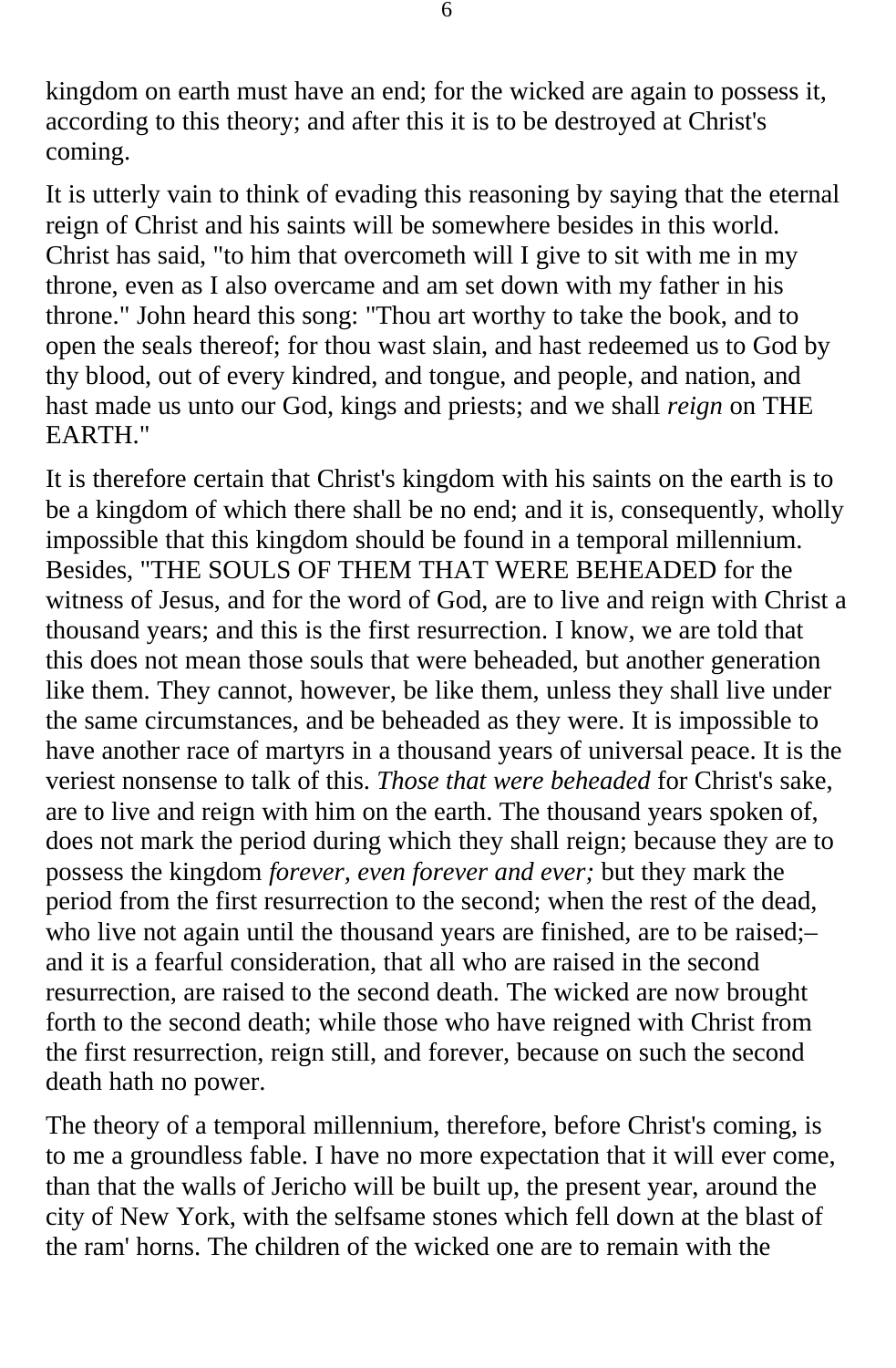kingdom on earth must have an end; for the wicked are again to possess it, according to this theory; and after this it is to be destroyed at Christ's coming.

It is utterly vain to think of evading this reasoning by saying that the eternal reign of Christ and his saints will be somewhere besides in this world. Christ has said, "to him that overcometh will I give to sit with me in my throne, even as I also overcame and am set down with my father in his throne." John heard this song: "Thou art worthy to take the book, and to open the seals thereof; for thou wast slain, and hast redeemed us to God by thy blood, out of every kindred, and tongue, and people, and nation, and hast made us unto our God, kings and priests; and we shall *reign* on THE EARTH."

It is therefore certain that Christ's kingdom with his saints on the earth is to be a kingdom of which there shall be no end; and it is, consequently, wholly impossible that this kingdom should be found in a temporal millennium. Besides, "THE SOULS OF THEM THAT WERE BEHEADED for the witness of Jesus, and for the word of God, are to live and reign with Christ a thousand years; and this is the first resurrection. I know, we are told that this does not mean those souls that were beheaded, but another generation like them. They cannot, however, be like them, unless they shall live under the same circumstances, and be beheaded as they were. It is impossible to have another race of martyrs in a thousand years of universal peace. It is the veriest nonsense to talk of this. *Those that were beheaded* for Christ's sake, are to live and reign with him on the earth. The thousand years spoken of, does not mark the period during which they shall reign; because they are to possess the kingdom *forever, even forever and ever;* but they mark the period from the first resurrection to the second; when the rest of the dead, who live not again until the thousand years are finished, are to be raised;and it is a fearful consideration, that all who are raised in the second resurrection, are raised to the second death. The wicked are now brought forth to the second death; while those who have reigned with Christ from the first resurrection, reign still, and forever, because on such the second death hath no power.

The theory of a temporal millennium, therefore, before Christ's coming, is to me a groundless fable. I have no more expectation that it will ever come, than that the walls of Jericho will be built up, the present year, around the city of New York, with the selfsame stones which fell down at the blast of the ram' horns. The children of the wicked one are to remain with the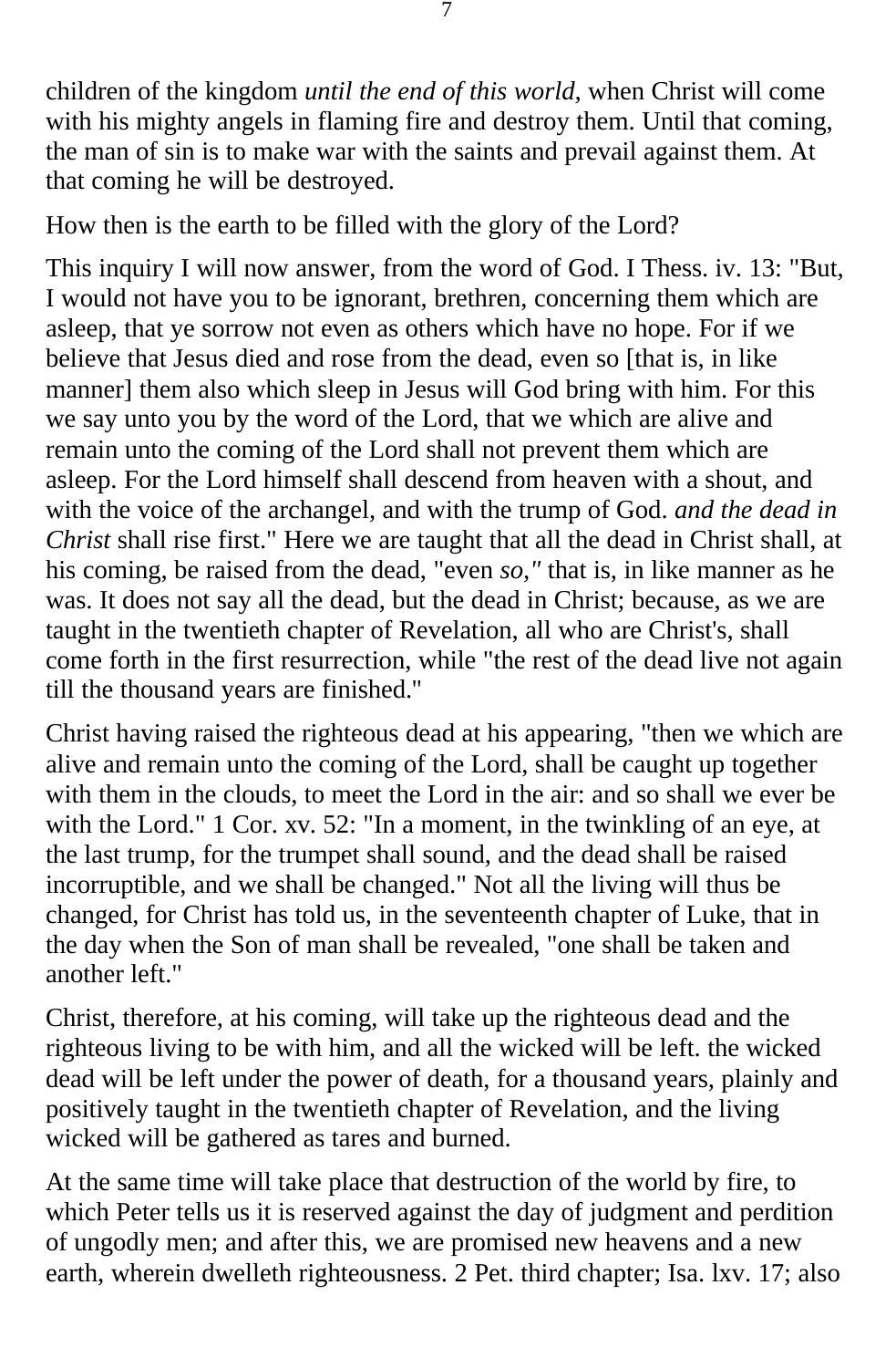children of the kingdom *until the end of this world,* when Christ will come with his mighty angels in flaming fire and destroy them. Until that coming, the man of sin is to make war with the saints and prevail against them. At that coming he will be destroyed.

How then is the earth to be filled with the glory of the Lord?

This inquiry I will now answer, from the word of God. I Thess. iv. 13: "But, I would not have you to be ignorant, brethren, concerning them which are asleep, that ye sorrow not even as others which have no hope. For if we believe that Jesus died and rose from the dead, even so [that is, in like manner] them also which sleep in Jesus will God bring with him. For this we say unto you by the word of the Lord, that we which are alive and remain unto the coming of the Lord shall not prevent them which are asleep. For the Lord himself shall descend from heaven with a shout, and with the voice of the archangel, and with the trump of God. *and the dead in Christ* shall rise first." Here we are taught that all the dead in Christ shall, at his coming, be raised from the dead, "even *so,"* that is, in like manner as he was. It does not say all the dead, but the dead in Christ; because, as we are taught in the twentieth chapter of Revelation, all who are Christ's, shall come forth in the first resurrection, while "the rest of the dead live not again till the thousand years are finished.''

Christ having raised the righteous dead at his appearing, "then we which are alive and remain unto the coming of the Lord, shall be caught up together with them in the clouds, to meet the Lord in the air: and so shall we ever be with the Lord." 1 Cor. xv. 52: "In a moment, in the twinkling of an eye, at the last trump, for the trumpet shall sound, and the dead shall be raised incorruptible, and we shall be changed." Not all the living will thus be changed, for Christ has told us, in the seventeenth chapter of Luke, that in the day when the Son of man shall be revealed, "one shall be taken and another left."

Christ, therefore, at his coming, will take up the righteous dead and the righteous living to be with him, and all the wicked will be left. the wicked dead will be left under the power of death, for a thousand years, plainly and positively taught in the twentieth chapter of Revelation, and the living wicked will be gathered as tares and burned.

At the same time will take place that destruction of the world by fire, to which Peter tells us it is reserved against the day of judgment and perdition of ungodly men; and after this, we are promised new heavens and a new earth, wherein dwelleth righteousness. 2 Pet. third chapter; Isa. lxv. 17; also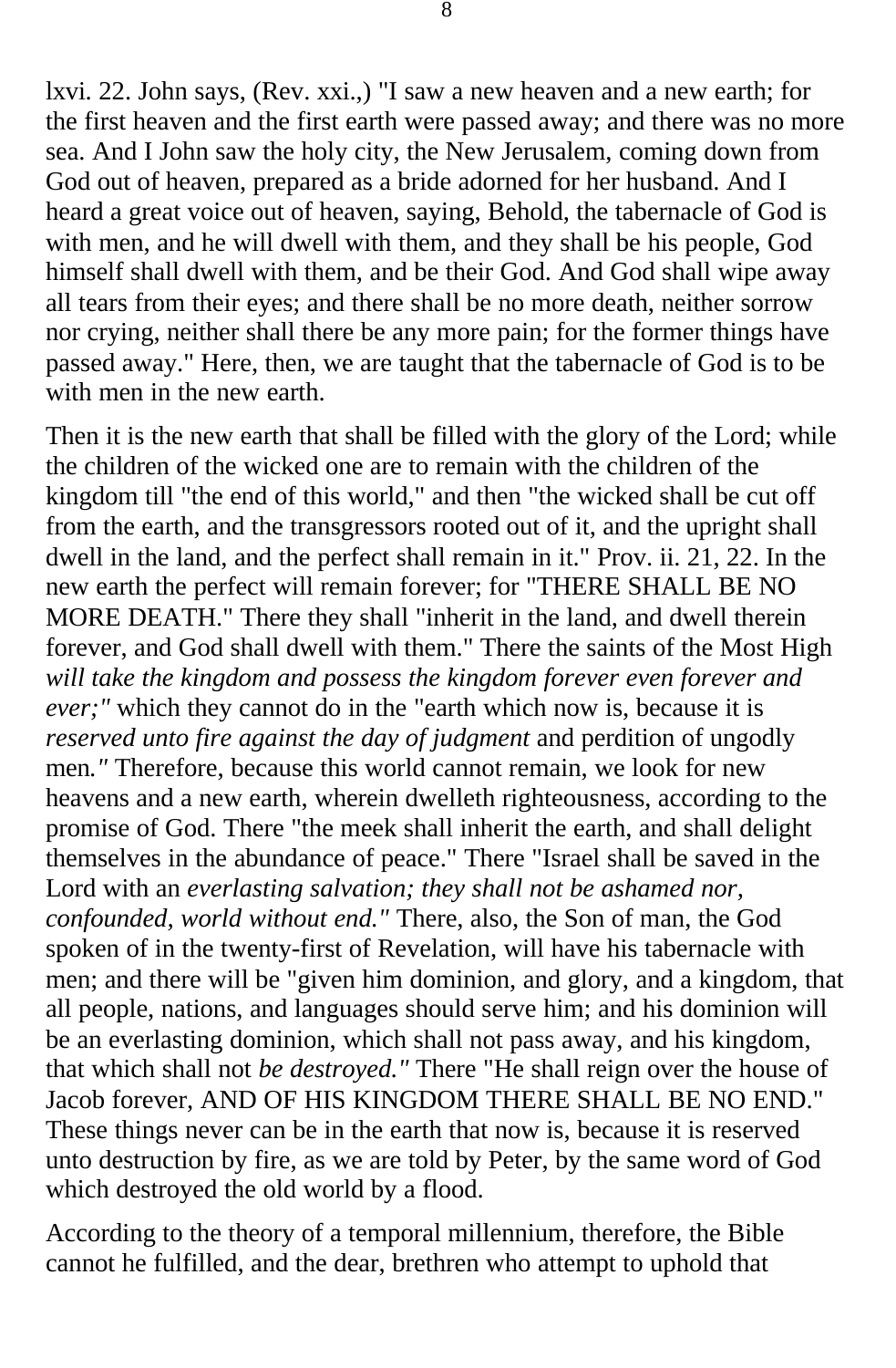lxvi. 22. John says, (Rev. xxi.,) "I saw a new heaven and a new earth; for the first heaven and the first earth were passed away; and there was no more sea. And I John saw the holy city, the New Jerusalem, coming down from God out of heaven, prepared as a bride adorned for her husband. And I heard a great voice out of heaven, saying, Behold, the tabernacle of God is with men, and he will dwell with them, and they shall be his people, God himself shall dwell with them, and be their God. And God shall wipe away all tears from their eyes; and there shall be no more death, neither sorrow nor crying, neither shall there be any more pain; for the former things have passed away." Here, then, we are taught that the tabernacle of God is to be with men in the new earth.

Then it is the new earth that shall be filled with the glory of the Lord; while the children of the wicked one are to remain with the children of the kingdom till "the end of this world," and then "the wicked shall be cut off from the earth, and the transgressors rooted out of it, and the upright shall dwell in the land, and the perfect shall remain in it." Prov. ii. 21, 22. In the new earth the perfect will remain forever; for "THERE SHALL BE NO MORE DEATH." There they shall "inherit in the land, and dwell therein forever, and God shall dwell with them." There the saints of the Most High *will take the kingdom and possess the kingdom forever even forever and ever;"* which they cannot do in the "earth which now is, because it is *reserved unto fire against the day of judgment* and perdition of ungodly men*."* Therefore, because this world cannot remain, we look for new heavens and a new earth, wherein dwelleth righteousness, according to the promise of God. There "the meek shall inherit the earth, and shall delight themselves in the abundance of peace." There "Israel shall be saved in the Lord with an *everlasting salvation; they shall not be ashamed nor, confounded, world without end."* There, also, the Son of man, the God spoken of in the twenty-first of Revelation, will have his tabernacle with men; and there will be "given him dominion, and glory, and a kingdom, that all people, nations, and languages should serve him; and his dominion will be an everlasting dominion, which shall not pass away, and his kingdom, that which shall not *be destroyed."* There "He shall reign over the house of Jacob forever, AND OF HIS KINGDOM THERE SHALL BE NO END." These things never can be in the earth that now is, because it is reserved unto destruction by fire, as we are told by Peter, by the same word of God which destroyed the old world by a flood.

According to the theory of a temporal millennium, therefore, the Bible cannot he fulfilled, and the dear, brethren who attempt to uphold that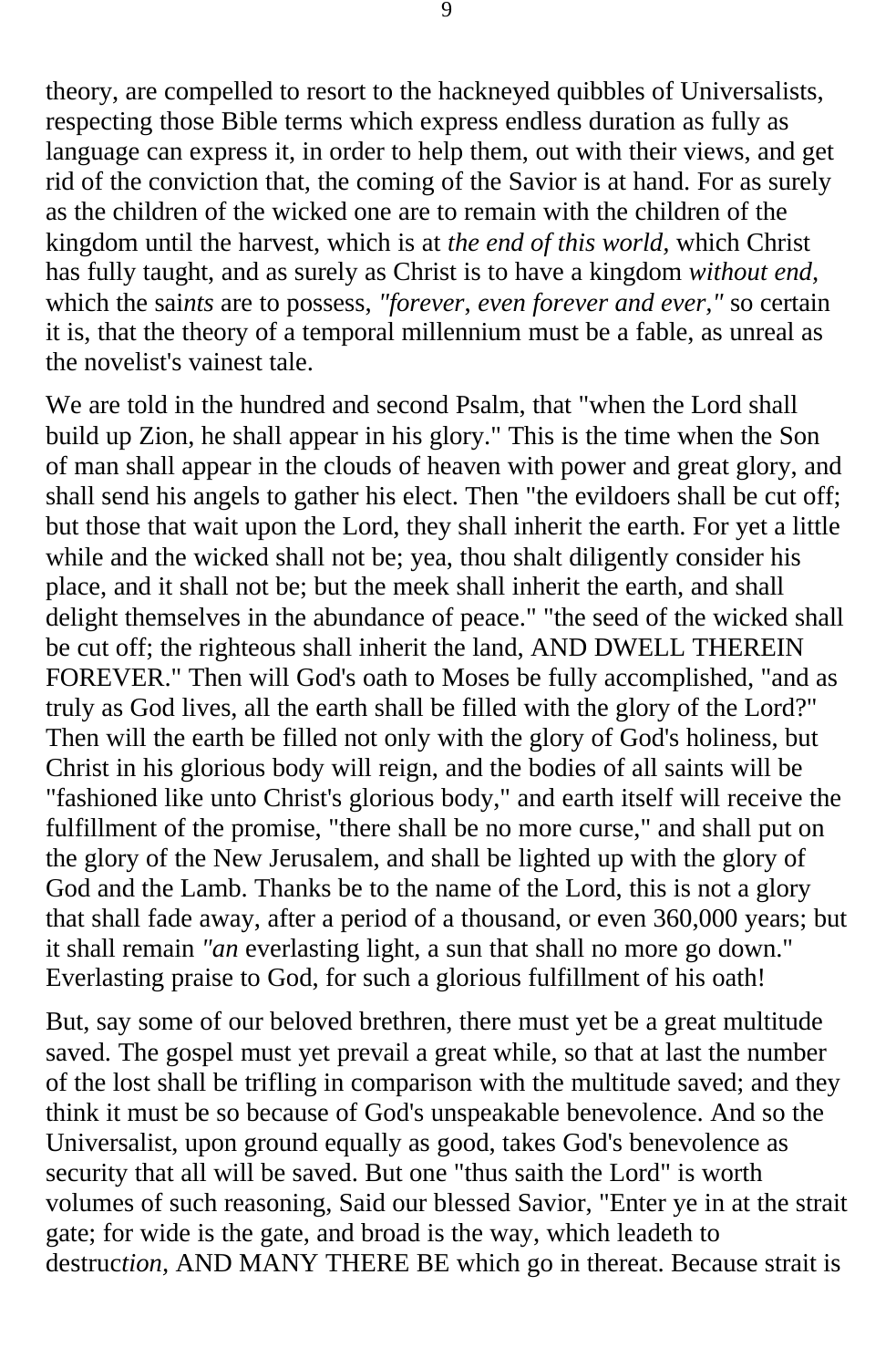theory, are compelled to resort to the hackneyed quibbles of Universalists, respecting those Bible terms which express endless duration as fully as language can express it, in order to help them, out with their views, and get rid of the conviction that, the coming of the Savior is at hand. For as surely as the children of the wicked one are to remain with the children of the kingdom until the harvest, which is at *the end of this world,* which Christ has fully taught, and as surely as Christ is to have a kingdom *without end,*  which the sai*nts* are to possess, *"forever*, *even forever and ever,"* so certain it is, that the theory of a temporal millennium must be a fable, as unreal as the novelist's vainest tale.

We are told in the hundred and second Psalm, that "when the Lord shall build up Zion, he shall appear in his glory." This is the time when the Son of man shall appear in the clouds of heaven with power and great glory, and shall send his angels to gather his elect. Then "the evildoers shall be cut off; but those that wait upon the Lord, they shall inherit the earth. For yet a little while and the wicked shall not be; yea, thou shalt diligently consider his place, and it shall not be; but the meek shall inherit the earth, and shall delight themselves in the abundance of peace." "the seed of the wicked shall be cut off; the righteous shall inherit the land, AND DWELL THEREIN FOREVER." Then will God's oath to Moses be fully accomplished, "and as truly as God lives, all the earth shall be filled with the glory of the Lord?" Then will the earth be filled not only with the glory of God's holiness, but Christ in his glorious body will reign, and the bodies of all saints will be "fashioned like unto Christ's glorious body," and earth itself will receive the fulfillment of the promise, "there shall be no more curse," and shall put on the glory of the New Jerusalem, and shall be lighted up with the glory of God and the Lamb. Thanks be to the name of the Lord, this is not a glory that shall fade away, after a period of a thousand, or even 360,000 years; but it shall remain *"an* everlasting light, a sun that shall no more go down." Everlasting praise to God, for such a glorious fulfillment of his oath!

But, say some of our beloved brethren, there must yet be a great multitude saved. The gospel must yet prevail a great while, so that at last the number of the lost shall be trifling in comparison with the multitude saved; and they think it must be so because of God's unspeakable benevolence. And so the Universalist, upon ground equally as good, takes God's benevolence as security that all will be saved. But one "thus saith the Lord" is worth volumes of such reasoning, Said our blessed Savior, "Enter ye in at the strait gate; for wide is the gate, and broad is the way, which leadeth to destruc*tion,* AND MANY THERE BE which go in thereat. Because strait is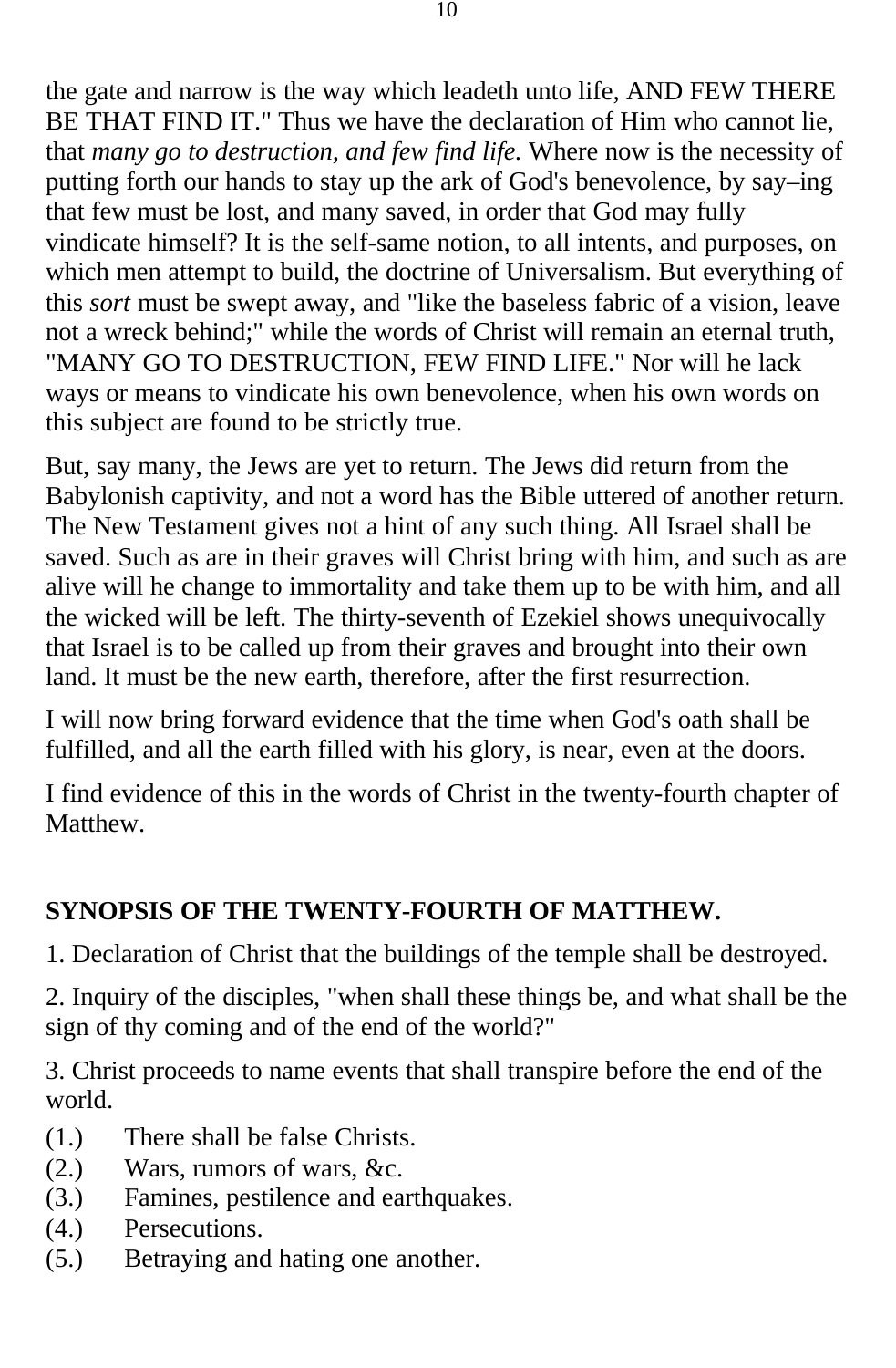the gate and narrow is the way which leadeth unto life, AND FEW THERE BE THAT FIND IT." Thus we have the declaration of Him who cannot lie, that *many go to destruction, and few find life.* Where now is the necessity of putting forth our hands to stay up the ark of God's benevolence, by say–ing that few must be lost, and many saved, in order that God may fully vindicate himself? It is the self-same notion, to all intents, and purposes, on which men attempt to build, the doctrine of Universalism. But everything of this *sort* must be swept away, and "like the baseless fabric of a vision, leave not a wreck behind;" while the words of Christ will remain an eternal truth, "MANY GO TO DESTRUCTION, FEW FIND LIFE." Nor will he lack ways or means to vindicate his own benevolence, when his own words on this subject are found to be strictly true.

But, say many, the Jews are yet to return. The Jews did return from the Babylonish captivity, and not a word has the Bible uttered of another return. The New Testament gives not a hint of any such thing. All Israel shall be saved. Such as are in their graves will Christ bring with him, and such as are alive will he change to immortality and take them up to be with him, and all the wicked will be left. The thirty-seventh of Ezekiel shows unequivocally that Israel is to be called up from their graves and brought into their own land. It must be the new earth, therefore, after the first resurrection.

I will now bring forward evidence that the time when God's oath shall be fulfilled, and all the earth filled with his glory, is near, even at the doors.

I find evidence of this in the words of Christ in the twenty-fourth chapter of Matthew.

## **SYNOPSIS OF THE TWENTY-FOURTH OF MATTHEW.**

1. Declaration of Christ that the buildings of the temple shall be destroyed.

2. Inquiry of the disciples, "when shall these things be, and what shall be the sign of thy coming and of the end of the world?"

3. Christ proceeds to name events that shall transpire before the end of the world.

- (1.) There shall be false Christs.
- (2.) Wars, rumors of wars, &c.
- (3.) Famines, pestilence and earthquakes.
- (4.) Persecutions.
- (5.) Betraying and hating one another.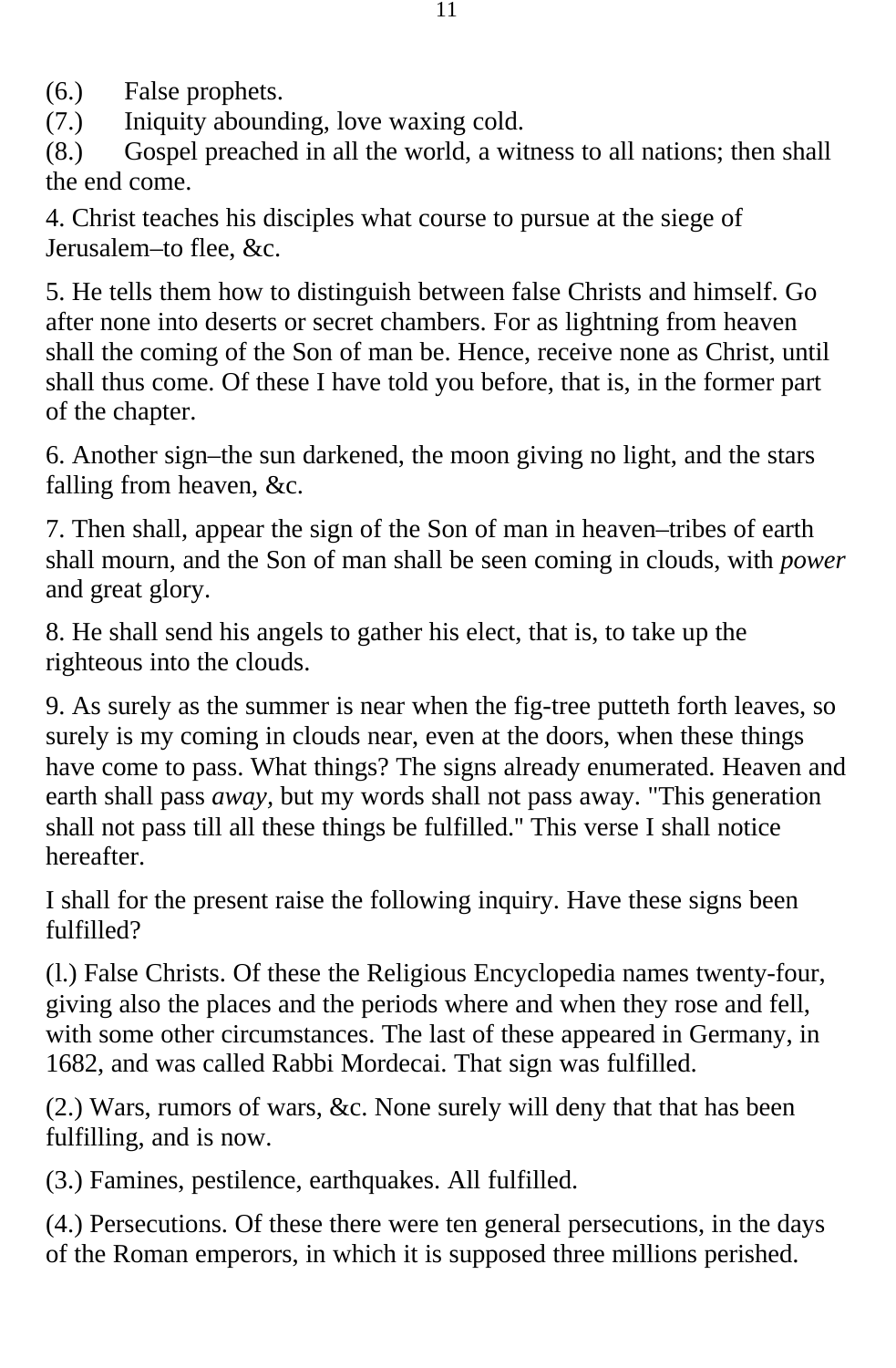(6.) False prophets.

(7.) Iniquity abounding, love waxing cold.

(8.) Gospel preached in all the world, a witness to all nations; then shall the end come.

4. Christ teaches his disciples what course to pursue at the siege of Jerusalem–to flee, &c.

5. He tells them how to distinguish between false Christs and himself. Go after none into deserts or secret chambers. For as lightning from heaven shall the coming of the Son of man be. Hence, receive none as Christ, until shall thus come. Of these I have told you before, that is, in the former part of the chapter.

6. Another sign–the sun darkened, the moon giving no light, and the stars falling from heaven, &c.

7. Then shall, appear the sign of the Son of man in heaven–tribes of earth shall mourn, and the Son of man shall be seen coming in clouds, with *power*  and great glory.

8. He shall send his angels to gather his elect, that is, to take up the righteous into the clouds.

9. As surely as the summer is near when the fig-tree putteth forth leaves, so surely is my coming in clouds near, even at the doors, when these things have come to pass. What things? The signs already enumerated. Heaven and earth shall pass *away,* but my words shall not pass away. "This generation shall not pass till all these things be fulfilled.'' This verse I shall notice hereafter.

I shall for the present raise the following inquiry. Have these signs been fulfilled?

(l.) False Christs. Of these the Religious Encyclopedia names twenty-four, giving also the places and the periods where and when they rose and fell, with some other circumstances. The last of these appeared in Germany, in 1682, and was called Rabbi Mordecai. That sign was fulfilled.

(2.) Wars, rumors of wars, &c. None surely will deny that that has been fulfilling, and is now.

(3.) Famines, pestilence, earthquakes. All fulfilled.

(4.) Persecutions. Of these there were ten general persecutions, in the days of the Roman emperors, in which it is supposed three millions perished.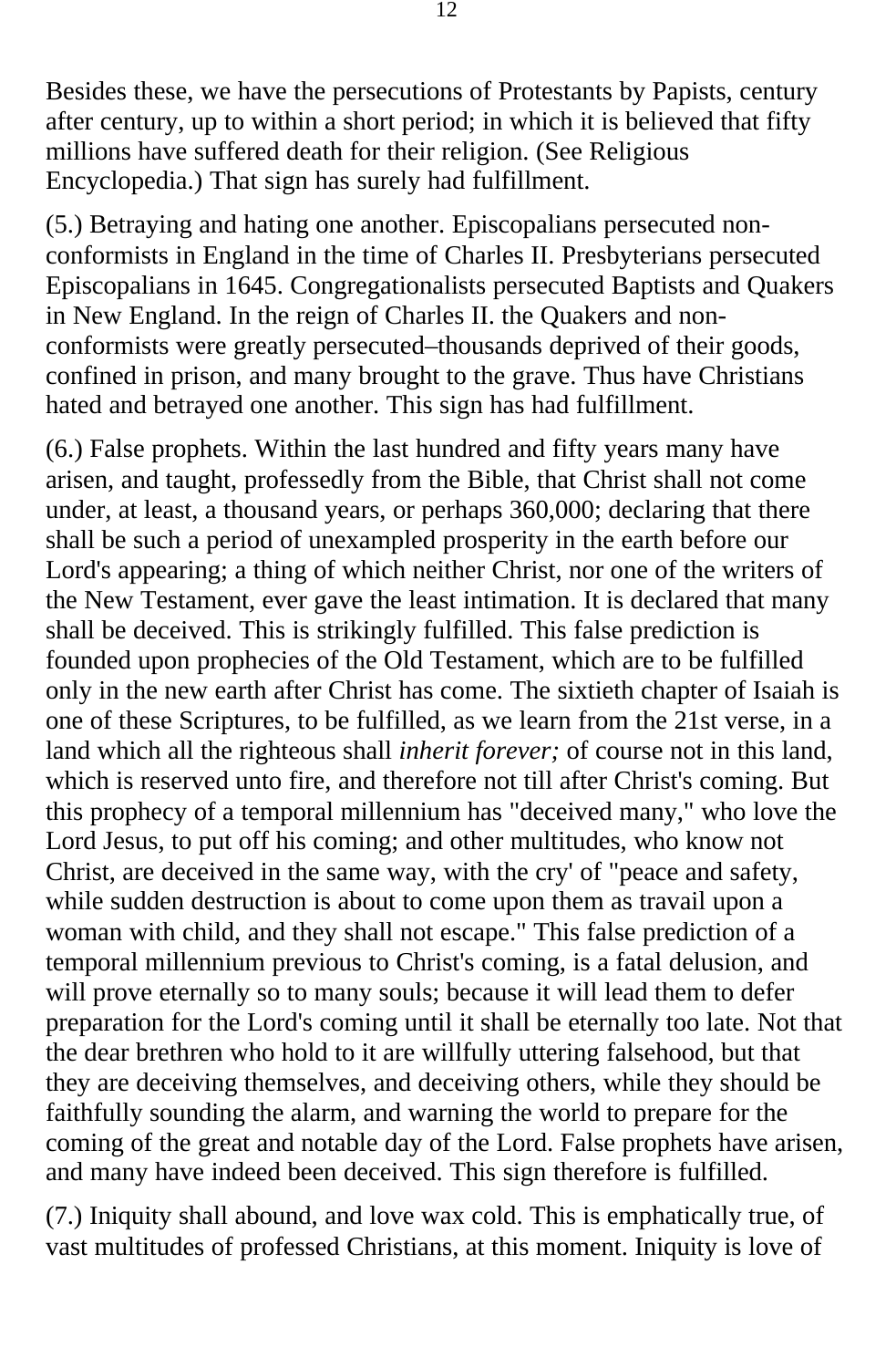Besides these, we have the persecutions of Protestants by Papists, century after century, up to within a short period; in which it is believed that fifty millions have suffered death for their religion. (See Religious Encyclopedia.) That sign has surely had fulfillment.

(5.) Betraying and hating one another. Episcopalians persecuted nonconformists in England in the time of Charles II. Presbyterians persecuted Episcopalians in 1645. Congregationalists persecuted Baptists and Quakers in New England. In the reign of Charles II. the Quakers and nonconformists were greatly persecuted–thousands deprived of their goods, confined in prison, and many brought to the grave. Thus have Christians hated and betrayed one another. This sign has had fulfillment.

(6.) False prophets. Within the last hundred and fifty years many have arisen, and taught, professedly from the Bible, that Christ shall not come under, at least, a thousand years, or perhaps 360,000; declaring that there shall be such a period of unexampled prosperity in the earth before our Lord's appearing; a thing of which neither Christ, nor one of the writers of the New Testament, ever gave the least intimation. It is declared that many shall be deceived. This is strikingly fulfilled. This false prediction is founded upon prophecies of the Old Testament, which are to be fulfilled only in the new earth after Christ has come. The sixtieth chapter of Isaiah is one of these Scriptures, to be fulfilled, as we learn from the 21st verse, in a land which all the righteous shall *inherit forever;* of course not in this land, which is reserved unto fire, and therefore not till after Christ's coming. But this prophecy of a temporal millennium has "deceived many," who love the Lord Jesus, to put off his coming; and other multitudes, who know not Christ, are deceived in the same way, with the cry' of "peace and safety, while sudden destruction is about to come upon them as travail upon a woman with child, and they shall not escape." This false prediction of a temporal millennium previous to Christ's coming, is a fatal delusion, and will prove eternally so to many souls; because it will lead them to defer preparation for the Lord's coming until it shall be eternally too late. Not that the dear brethren who hold to it are willfully uttering falsehood, but that they are deceiving themselves, and deceiving others, while they should be faithfully sounding the alarm, and warning the world to prepare for the coming of the great and notable day of the Lord. False prophets have arisen, and many have indeed been deceived. This sign therefore is fulfilled.

(7.) Iniquity shall abound, and love wax cold. This is emphatically true, of vast multitudes of professed Christians, at this moment. Iniquity is love of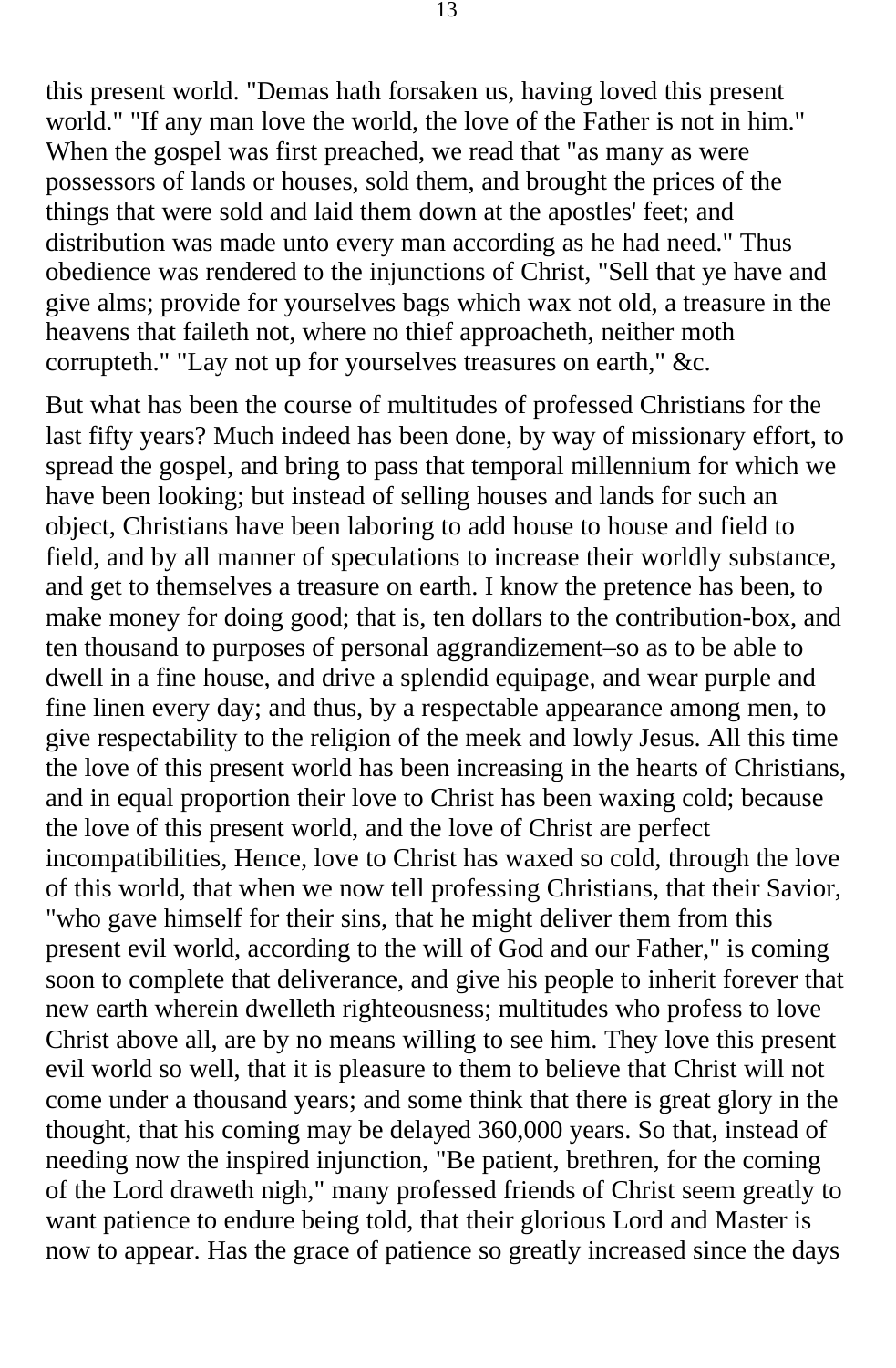this present world. "Demas hath forsaken us, having loved this present world." "If any man love the world, the love of the Father is not in him." When the gospel was first preached, we read that "as many as were possessors of lands or houses, sold them, and brought the prices of the things that were sold and laid them down at the apostles' feet; and distribution was made unto every man according as he had need." Thus obedience was rendered to the injunctions of Christ, "Sell that ye have and give alms; provide for yourselves bags which wax not old, a treasure in the heavens that faileth not, where no thief approacheth, neither moth corrupteth." "Lay not up for yourselves treasures on earth," &c.

But what has been the course of multitudes of professed Christians for the last fifty years? Much indeed has been done, by way of missionary effort, to spread the gospel, and bring to pass that temporal millennium for which we have been looking; but instead of selling houses and lands for such an object, Christians have been laboring to add house to house and field to field, and by all manner of speculations to increase their worldly substance, and get to themselves a treasure on earth. I know the pretence has been, to make money for doing good; that is, ten dollars to the contribution-box, and ten thousand to purposes of personal aggrandizement–so as to be able to dwell in a fine house, and drive a splendid equipage, and wear purple and fine linen every day; and thus, by a respectable appearance among men, to give respectability to the religion of the meek and lowly Jesus. All this time the love of this present world has been increasing in the hearts of Christians, and in equal proportion their love to Christ has been waxing cold; because the love of this present world, and the love of Christ are perfect incompatibilities, Hence, love to Christ has waxed so cold, through the love of this world, that when we now tell professing Christians, that their Savior, "who gave himself for their sins, that he might deliver them from this present evil world, according to the will of God and our Father," is coming soon to complete that deliverance, and give his people to inherit forever that new earth wherein dwelleth righteousness; multitudes who profess to love Christ above all, are by no means willing to see him. They love this present evil world so well, that it is pleasure to them to believe that Christ will not come under a thousand years; and some think that there is great glory in the thought, that his coming may be delayed 360,000 years. So that, instead of needing now the inspired injunction, "Be patient, brethren, for the coming of the Lord draweth nigh," many professed friends of Christ seem greatly to want patience to endure being told, that their glorious Lord and Master is now to appear. Has the grace of patience so greatly increased since the days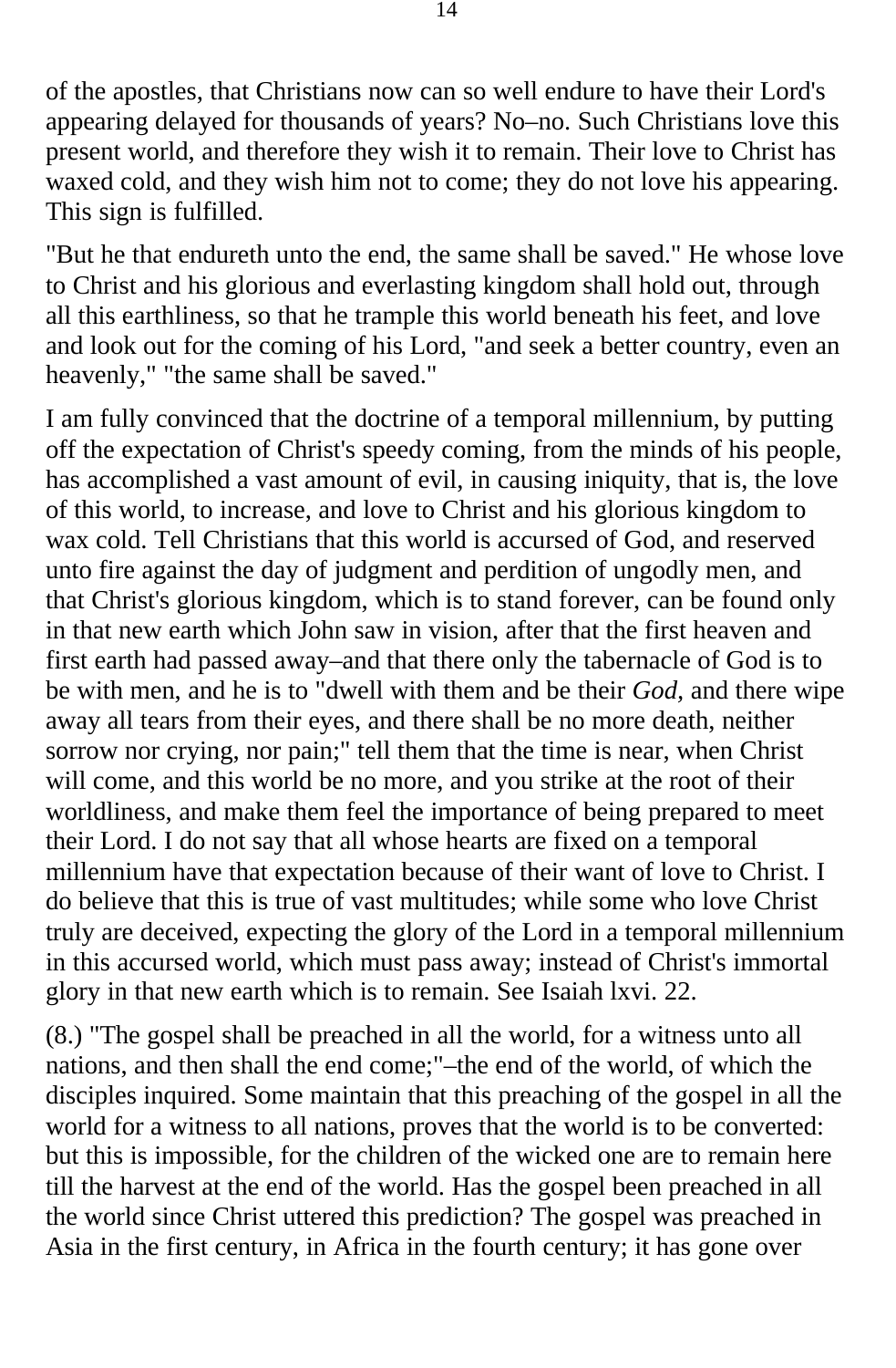of the apostles, that Christians now can so well endure to have their Lord's appearing delayed for thousands of years? No–no. Such Christians love this present world, and therefore they wish it to remain. Their love to Christ has waxed cold, and they wish him not to come; they do not love his appearing. This sign is fulfilled.

"But he that endureth unto the end, the same shall be saved." He whose love to Christ and his glorious and everlasting kingdom shall hold out, through all this earthliness, so that he trample this world beneath his feet, and love and look out for the coming of his Lord, "and seek a better country, even an heavenly," "the same shall be saved."

I am fully convinced that the doctrine of a temporal millennium, by putting off the expectation of Christ's speedy coming, from the minds of his people, has accomplished a vast amount of evil, in causing iniquity, that is, the love of this world, to increase, and love to Christ and his glorious kingdom to wax cold. Tell Christians that this world is accursed of God, and reserved unto fire against the day of judgment and perdition of ungodly men, and that Christ's glorious kingdom, which is to stand forever, can be found only in that new earth which John saw in vision, after that the first heaven and first earth had passed away–and that there only the tabernacle of God is to be with men, and he is to "dwell with them and be their *God,* and there wipe away all tears from their eyes, and there shall be no more death, neither sorrow nor crying, nor pain;" tell them that the time is near, when Christ will come, and this world be no more, and you strike at the root of their worldliness, and make them feel the importance of being prepared to meet their Lord. I do not say that all whose hearts are fixed on a temporal millennium have that expectation because of their want of love to Christ. I do believe that this is true of vast multitudes; while some who love Christ truly are deceived, expecting the glory of the Lord in a temporal millennium in this accursed world, which must pass away; instead of Christ's immortal glory in that new earth which is to remain. See Isaiah lxvi. 22.

(8.) "The gospel shall be preached in all the world, for a witness unto all nations, and then shall the end come;"–the end of the world, of which the disciples inquired. Some maintain that this preaching of the gospel in all the world for a witness to all nations, proves that the world is to be converted: but this is impossible, for the children of the wicked one are to remain here till the harvest at the end of the world. Has the gospel been preached in all the world since Christ uttered this prediction? The gospel was preached in Asia in the first century, in Africa in the fourth century; it has gone over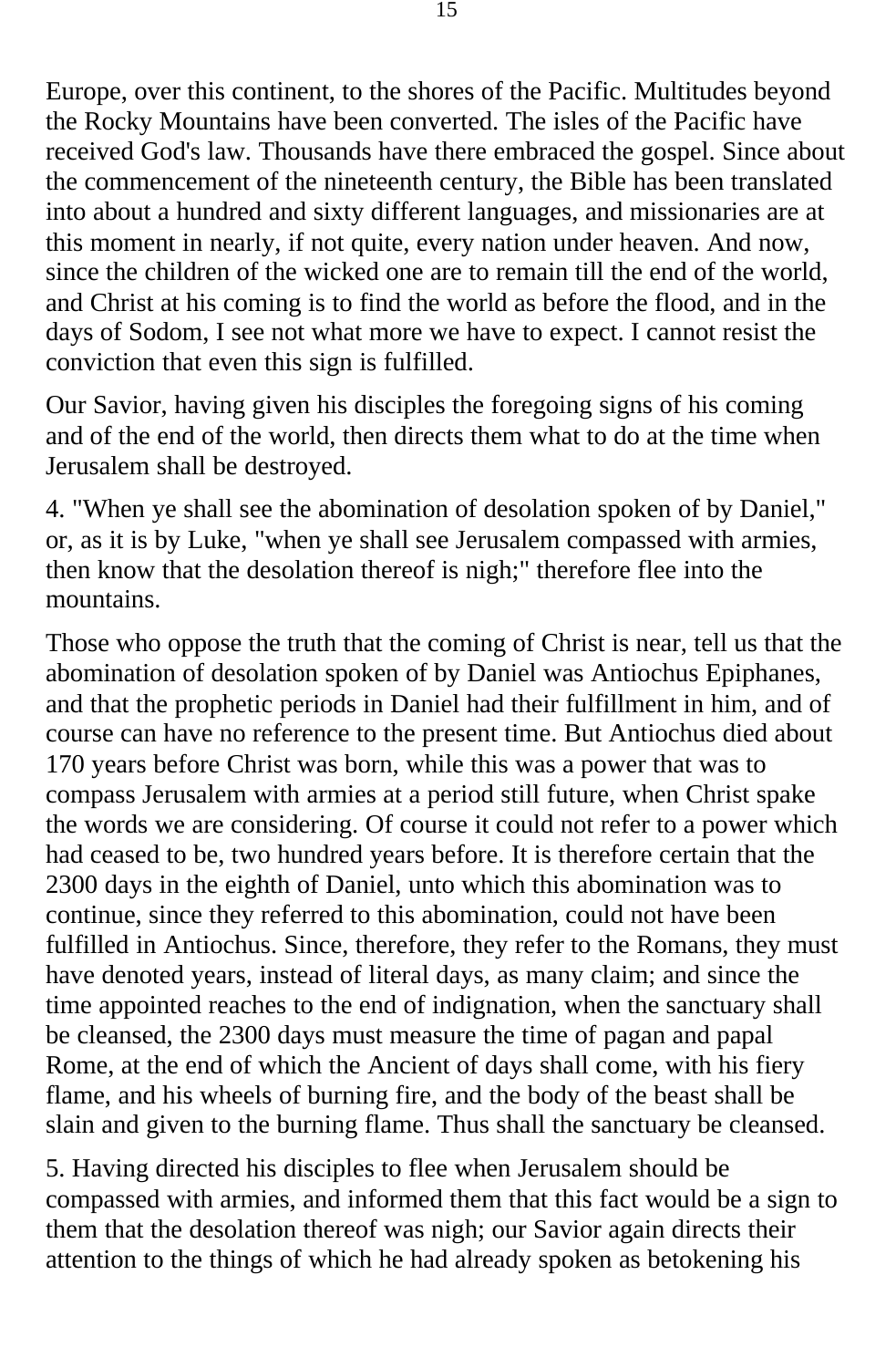Europe, over this continent, to the shores of the Pacific. Multitudes beyond the Rocky Mountains have been converted. The isles of the Pacific have received God's law. Thousands have there embraced the gospel. Since about the commencement of the nineteenth century, the Bible has been translated into about a hundred and sixty different languages, and missionaries are at this moment in nearly, if not quite, every nation under heaven. And now, since the children of the wicked one are to remain till the end of the world, and Christ at his coming is to find the world as before the flood, and in the days of Sodom, I see not what more we have to expect. I cannot resist the conviction that even this sign is fulfilled.

Our Savior, having given his disciples the foregoing signs of his coming and of the end of the world, then directs them what to do at the time when Jerusalem shall be destroyed.

4. "When ye shall see the abomination of desolation spoken of by Daniel," or, as it is by Luke, "when ye shall see Jerusalem compassed with armies, then know that the desolation thereof is nigh;" therefore flee into the mountains.

Those who oppose the truth that the coming of Christ is near, tell us that the abomination of desolation spoken of by Daniel was Antiochus Epiphanes, and that the prophetic periods in Daniel had their fulfillment in him, and of course can have no reference to the present time. But Antiochus died about 170 years before Christ was born, while this was a power that was to compass Jerusalem with armies at a period still future, when Christ spake the words we are considering. Of course it could not refer to a power which had ceased to be, two hundred years before. It is therefore certain that the 2300 days in the eighth of Daniel, unto which this abomination was to continue, since they referred to this abomination, could not have been fulfilled in Antiochus. Since, therefore, they refer to the Romans, they must have denoted years, instead of literal days, as many claim; and since the time appointed reaches to the end of indignation, when the sanctuary shall be cleansed, the 2300 days must measure the time of pagan and papal Rome, at the end of which the Ancient of days shall come, with his fiery flame, and his wheels of burning fire, and the body of the beast shall be slain and given to the burning flame. Thus shall the sanctuary be cleansed.

5. Having directed his disciples to flee when Jerusalem should be compassed with armies, and informed them that this fact would be a sign to them that the desolation thereof was nigh; our Savior again directs their attention to the things of which he had already spoken as betokening his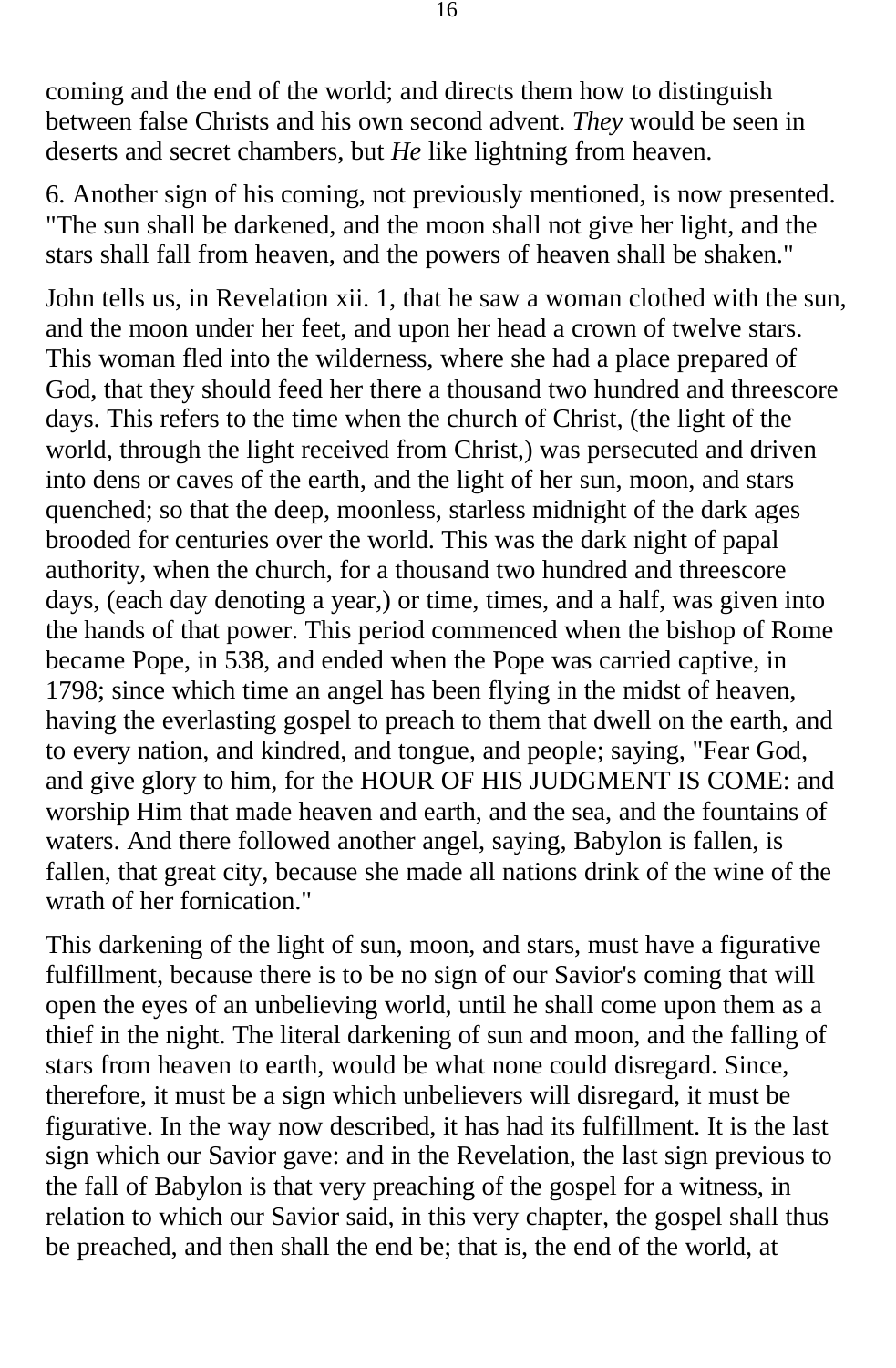coming and the end of the world; and directs them how to distinguish between false Christs and his own second advent. *They* would be seen in deserts and secret chambers, but *He* like lightning from heaven.

6. Another sign of his coming, not previously mentioned, is now presented. "The sun shall be darkened, and the moon shall not give her light, and the stars shall fall from heaven, and the powers of heaven shall be shaken."

John tells us, in Revelation xii. 1, that he saw a woman clothed with the sun, and the moon under her feet, and upon her head a crown of twelve stars. This woman fled into the wilderness, where she had a place prepared of God, that they should feed her there a thousand two hundred and threescore days. This refers to the time when the church of Christ, (the light of the world, through the light received from Christ,) was persecuted and driven into dens or caves of the earth, and the light of her sun, moon, and stars quenched; so that the deep, moonless, starless midnight of the dark ages brooded for centuries over the world. This was the dark night of papal authority, when the church, for a thousand two hundred and threescore days, (each day denoting a year,) or time, times, and a half, was given into the hands of that power. This period commenced when the bishop of Rome became Pope, in 538, and ended when the Pope was carried captive, in 1798; since which time an angel has been flying in the midst of heaven, having the everlasting gospel to preach to them that dwell on the earth, and to every nation, and kindred, and tongue, and people; saying, "Fear God, and give glory to him, for the HOUR OF HIS JUDGMENT IS COME: and worship Him that made heaven and earth, and the sea, and the fountains of waters. And there followed another angel, saying, Babylon is fallen, is fallen, that great city, because she made all nations drink of the wine of the wrath of her fornication."

This darkening of the light of sun, moon, and stars, must have a figurative fulfillment, because there is to be no sign of our Savior's coming that will open the eyes of an unbelieving world, until he shall come upon them as a thief in the night. The literal darkening of sun and moon, and the falling of stars from heaven to earth, would be what none could disregard. Since, therefore, it must be a sign which unbelievers will disregard, it must be figurative. In the way now described, it has had its fulfillment. It is the last sign which our Savior gave: and in the Revelation, the last sign previous to the fall of Babylon is that very preaching of the gospel for a witness, in relation to which our Savior said, in this very chapter, the gospel shall thus be preached, and then shall the end be; that is, the end of the world, at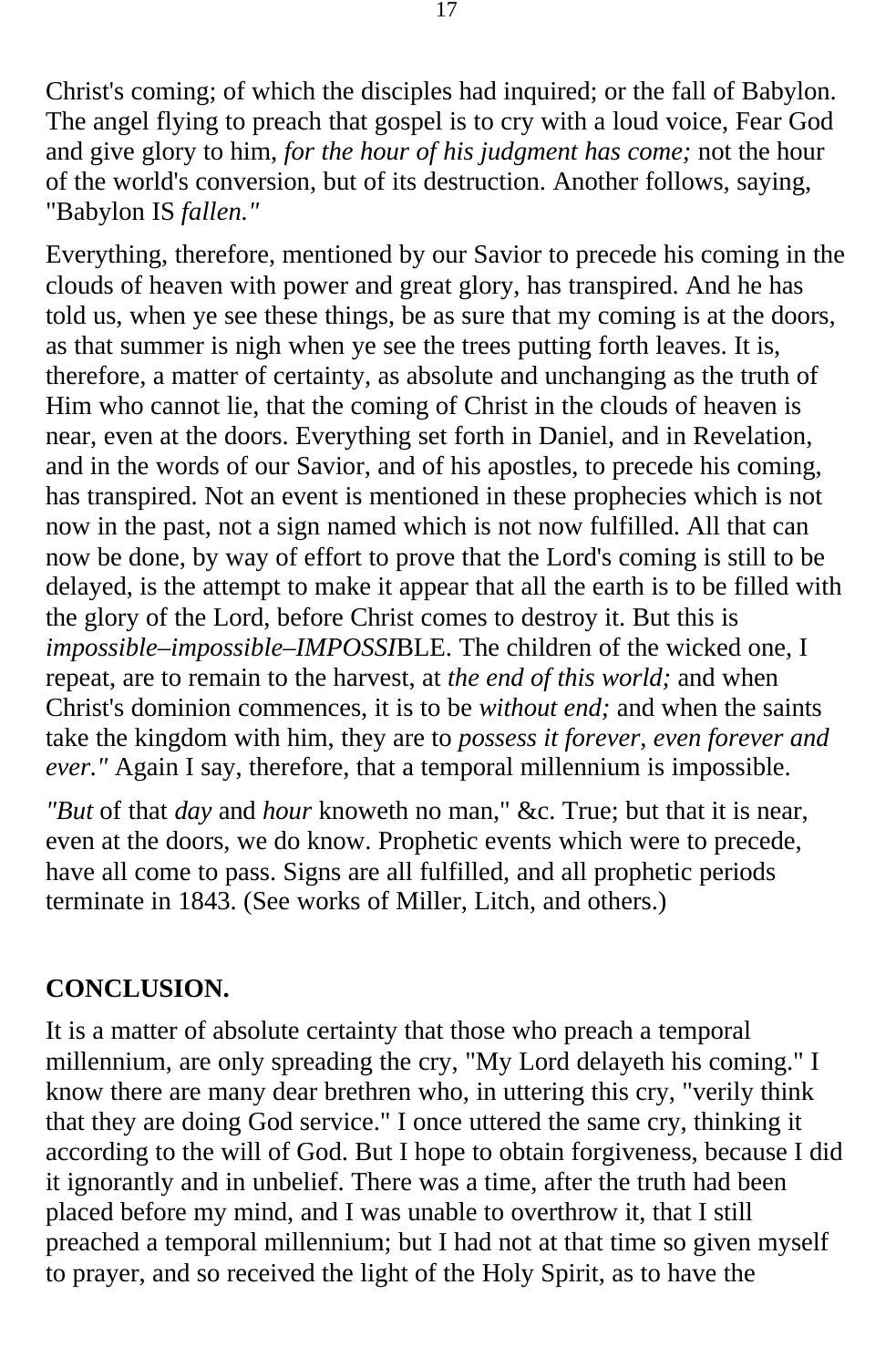Christ's coming; of which the disciples had inquired; or the fall of Babylon. The angel flying to preach that gospel is to cry with a loud voice, Fear God and give glory to him, *for the hour of his judgment has come;* not the hour of the world's conversion, but of its destruction. Another follows, saying, "Babylon IS *fallen."* 

Everything, therefore, mentioned by our Savior to precede his coming in the clouds of heaven with power and great glory, has transpired. And he has told us, when ye see these things, be as sure that my coming is at the doors, as that summer is nigh when ye see the trees putting forth leaves. It is, therefore, a matter of certainty, as absolute and unchanging as the truth of Him who cannot lie, that the coming of Christ in the clouds of heaven is near, even at the doors. Everything set forth in Daniel, and in Revelation, and in the words of our Savior, and of his apostles, to precede his coming, has transpired. Not an event is mentioned in these prophecies which is not now in the past, not a sign named which is not now fulfilled. All that can now be done, by way of effort to prove that the Lord's coming is still to be delayed, is the attempt to make it appear that all the earth is to be filled with the glory of the Lord, before Christ comes to destroy it. But this is *impossible–impossible–IMPOSSI*BLE. The children of the wicked one, I repeat, are to remain to the harvest, at *the end of this world;* and when Christ's dominion commences, it is to be *without end;* and when the saints take the kingdom with him, they are to *possess it forever, even forever and ever."* Again I say, therefore, that a temporal millennium is impossible.

*"But* of that *day* and *hour* knoweth no man," &c. True; but that it is near, even at the doors, we do know. Prophetic events which were to precede, have all come to pass. Signs are all fulfilled, and all prophetic periods terminate in 1843. (See works of Miller, Litch, and others.)

## **CONCLUSION.**

It is a matter of absolute certainty that those who preach a temporal millennium, are only spreading the cry, "My Lord delayeth his coming." I know there are many dear brethren who, in uttering this cry, "verily think that they are doing God service." I once uttered the same cry, thinking it according to the will of God. But I hope to obtain forgiveness, because I did it ignorantly and in unbelief. There was a time, after the truth had been placed before my mind, and I was unable to overthrow it, that I still preached a temporal millennium; but I had not at that time so given myself to prayer, and so received the light of the Holy Spirit, as to have the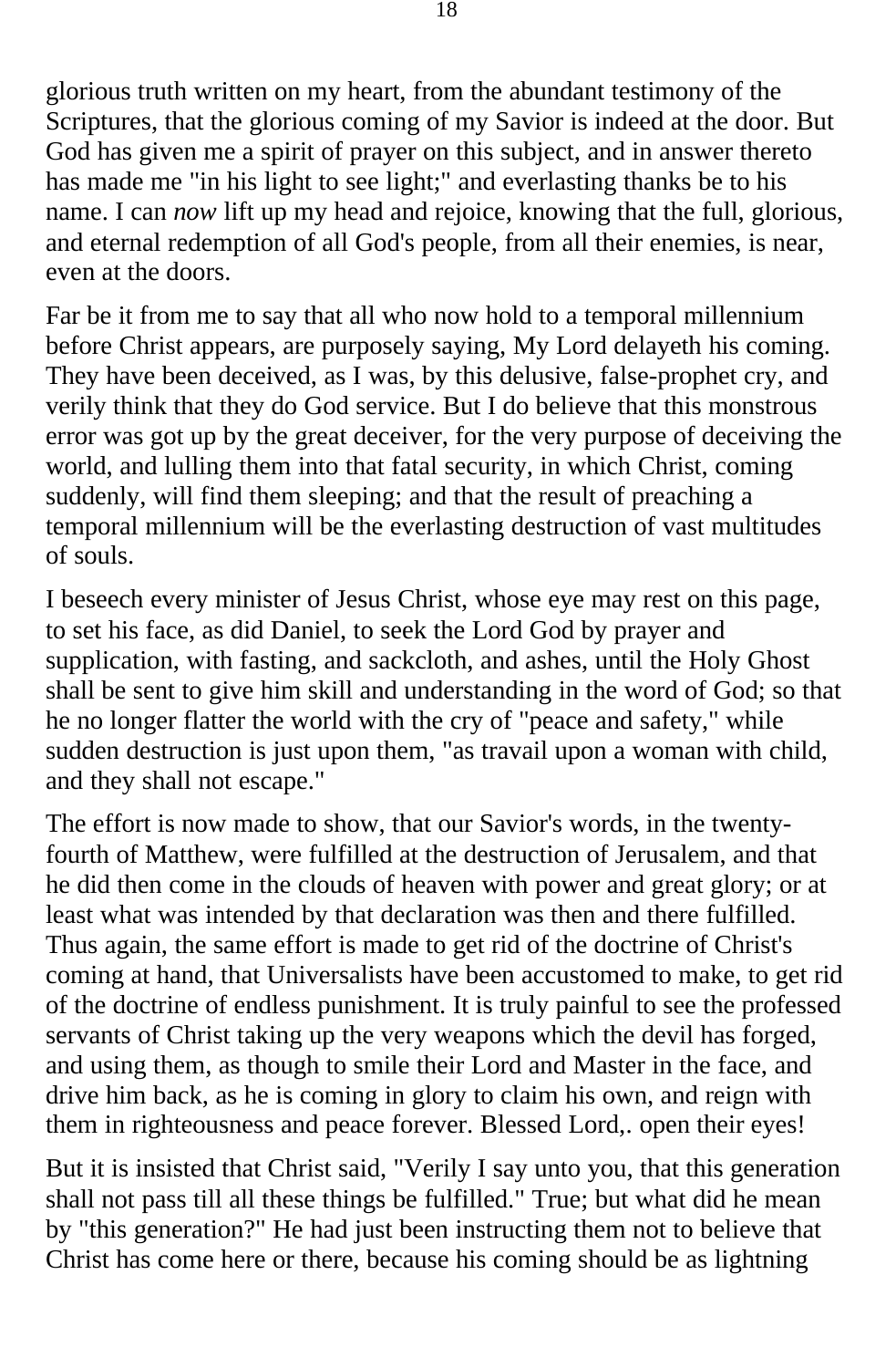glorious truth written on my heart, from the abundant testimony of the Scriptures, that the glorious coming of my Savior is indeed at the door. But God has given me a spirit of prayer on this subject, and in answer thereto has made me "in his light to see light;" and everlasting thanks be to his name. I can *now* lift up my head and rejoice, knowing that the full, glorious, and eternal redemption of all God's people, from all their enemies, is near, even at the doors.

Far be it from me to say that all who now hold to a temporal millennium before Christ appears, are purposely saying, My Lord delayeth his coming. They have been deceived, as I was, by this delusive, false-prophet cry, and verily think that they do God service. But I do believe that this monstrous error was got up by the great deceiver, for the very purpose of deceiving the world, and lulling them into that fatal security, in which Christ, coming suddenly, will find them sleeping; and that the result of preaching a temporal millennium will be the everlasting destruction of vast multitudes of souls.

I beseech every minister of Jesus Christ, whose eye may rest on this page, to set his face, as did Daniel, to seek the Lord God by prayer and supplication, with fasting, and sackcloth, and ashes, until the Holy Ghost shall be sent to give him skill and understanding in the word of God; so that he no longer flatter the world with the cry of "peace and safety," while sudden destruction is just upon them, "as travail upon a woman with child, and they shall not escape."

The effort is now made to show, that our Savior's words, in the twentyfourth of Matthew, were fulfilled at the destruction of Jerusalem, and that he did then come in the clouds of heaven with power and great glory; or at least what was intended by that declaration was then and there fulfilled. Thus again, the same effort is made to get rid of the doctrine of Christ's coming at hand, that Universalists have been accustomed to make, to get rid of the doctrine of endless punishment. It is truly painful to see the professed servants of Christ taking up the very weapons which the devil has forged, and using them, as though to smile their Lord and Master in the face, and drive him back, as he is coming in glory to claim his own, and reign with them in righteousness and peace forever. Blessed Lord,. open their eyes!

But it is insisted that Christ said, "Verily I say unto you, that this generation shall not pass till all these things be fulfilled." True; but what did he mean by "this generation?" He had just been instructing them not to believe that Christ has come here or there, because his coming should be as lightning